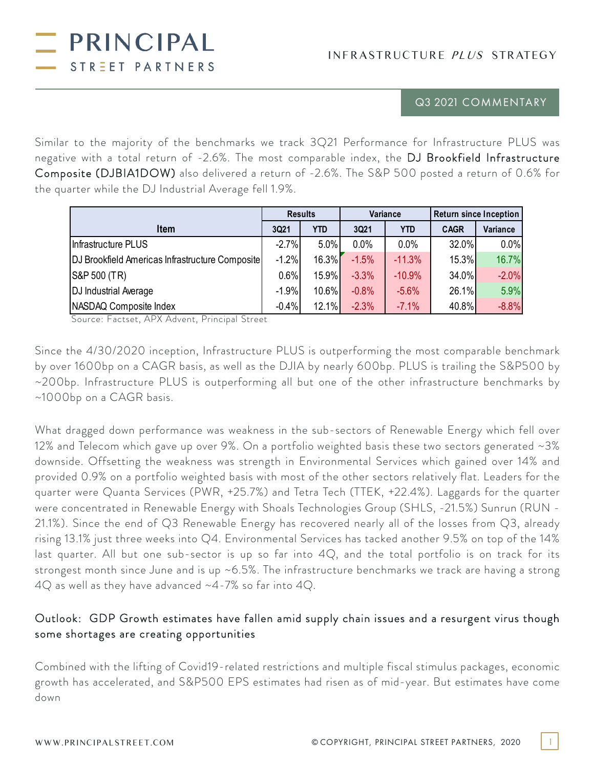INFRASTRUCTURE PLUS STRATEGY

## Q3 2021 COMMENTARY

Similar to the majority of the benchmarks we track 3Q21 Performance for Infrastructure PLUS was negative with a total return of -2.6%. The most comparable index, the DJ Brookfield Infrastructure Composite (DJBIA1DOW) also delivered a return of -2.6%. The S&P 500 posted a return of 0.6% for the quarter while the DJ Industrial Average fell 1.9%.

|                                                 | <b>Results</b> |            | <b>Variance</b> |            | <b>Return since Inception</b> |          |
|-------------------------------------------------|----------------|------------|-----------------|------------|-------------------------------|----------|
| <b>Item</b>                                     | 3Q21           | <b>YTD</b> | 3Q21            | <b>YTD</b> | <b>CAGR</b>                   | Variance |
| Infrastructure PLUS                             | $-2.7%$        | 5.0%       | 0.0%            | 0.0%       | 32.0%                         | 0.0%     |
| DJ Brookfield Americas Infrastructure Composite | $-1.2%$        | 16.3%      | $-1.5%$         | $-11.3%$   | 15.3%                         | 16.7%    |
| S&P 500 (TR)                                    | 0.6%           | 15.9%      | $-3.3%$         | $-10.9%$   | 34.0%                         | $-2.0%$  |
| DJ Industrial Average                           | $-1.9%$        | $10.6\%$   | $-0.8%$         | $-5.6%$    | 26.1%                         | 5.9%     |
| NASDAQ Composite Index                          | $-0.4%$        | 12.1%      | $-2.3%$         | $-7.1%$    | 40.8%                         | $-8.8%$  |

Source: Factset, APX Advent, Principal Street

PRINCIPAL

STREET PARTNERS

Since the 4/30/2020 inception, Infrastructure PLUS is outperforming the most comparable benchmark by over 1600bp on a CAGR basis, as well as the DJIA by nearly 600bp. PLUS is trailing the S&P500 by ~200bp. Infrastructure PLUS is outperforming all but one of the other infrastructure benchmarks by ~1000bp on a CAGR basis.

What dragged down performance was weakness in the sub-sectors of Renewable Energy which fell over 12% and Telecom which gave up over 9%. On a portfolio weighted basis these two sectors generated ~3% downside. Offsetting the weakness was strength in Environmental Services which gained over 14% and provided 0.9% on a portfolio weighted basis with most of the other sectors relatively flat. Leaders for the quarter were Quanta Services (PWR, +25.7%) and Tetra Tech (TTEK, +22.4%). Laggards for the quarter were concentrated in Renewable Energy with Shoals Technologies Group (SHLS, -21.5%) Sunrun (RUN - 21.1%). Since the end of Q3 Renewable Energy has recovered nearly all of the losses from Q3, already rising 13.1% just three weeks into Q4. Environmental Services has tacked another 9.5% on top of the 14% last quarter. All but one sub-sector is up so far into 4Q, and the total portfolio is on track for its strongest month since June and is up ~6.5%. The infrastructure benchmarks we track are having a strong 4Q as well as they have advanced ~4-7% so far into 4Q.

# Outlook: GDP Growth estimates have fallen amid supply chain issues and a resurgent virus though some shortages are creating opportunities

Combined with the lifting of Covid19-related restrictions and multiple fiscal stimulus packages, economic growth has accelerated, and S&P500 EPS estimates had risen as of mid-year. But estimates have come down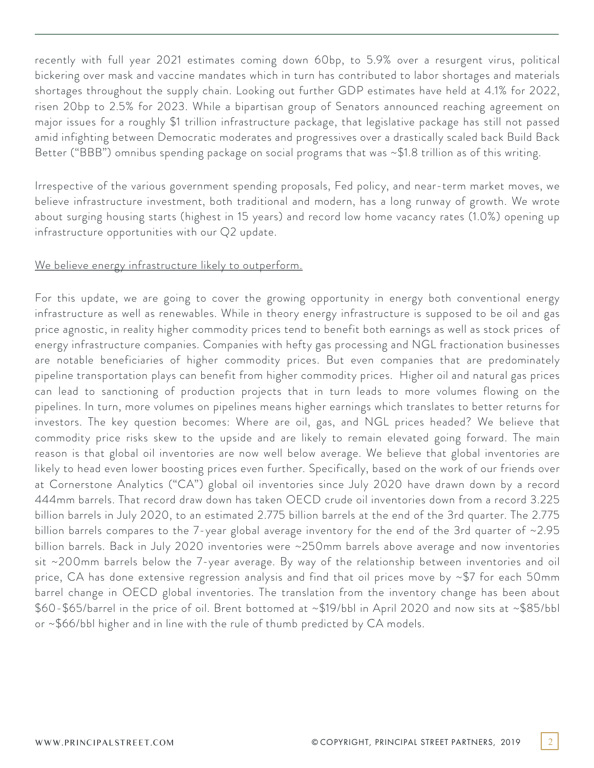recently with full year 2021 estimates coming down 60bp, to 5.9% over a resurgent virus, political bickering over mask and vaccine mandates which in turn has contributed to labor shortages and materials shortages throughout the supply chain. Looking out further GDP estimates have held at 4.1% for 2022, risen 20bp to 2.5% for 2023. While a bipartisan group of Senators announced reaching agreement on major issues for a roughly \$1 trillion infrastructure package, that legislative package has still not passed amid infighting between Democratic moderates and progressives over a drastically scaled back Build Back Better ("BBB") omnibus spending package on social programs that was ~\$1.8 trillion as of this writing.

Irrespective of the various government spending proposals, Fed policy, and near-term market moves, we believe infrastructure investment, both traditional and modern, has a long runway of growth. We wrote about surging housing starts (highest in 15 years) and record low home vacancy rates (1.0%) opening up infrastructure opportunities with our Q2 update.

### We believe energy infrastructure likely to outperform.

For this update, we are going to cover the growing opportunity in energy both conventional energy infrastructure as well as renewables. While in theory energy infrastructure is supposed to be oil and gas price agnostic, in reality higher commodity prices tend to benefit both earnings as well as stock prices of energy infrastructure companies. Companies with hefty gas processing and NGL fractionation businesses are notable beneficiaries of higher commodity prices. But even companies that are predominately pipeline transportation plays can benefit from higher commodity prices. Higher oil and natural gas prices can lead to sanctioning of production projects that in turn leads to more volumes flowing on the pipelines. In turn, more volumes on pipelines means higher earnings which translates to better returns for investors. The key question becomes: Where are oil, gas, and NGL prices headed? We believe that commodity price risks skew to the upside and are likely to remain elevated going forward. The main reason is that global oil inventories are now well below average. We believe that global inventories are likely to head even lower boosting prices even further. Specifically, based on the work of our friends over at Cornerstone Analytics ("CA") global oil inventories since July 2020 have drawn down by a record 444mm barrels. That record draw down has taken OECD crude oil inventories down from a record 3.225 billion barrels in July 2020, to an estimated 2.775 billion barrels at the end of the 3rd quarter. The 2.775 billion barrels compares to the 7-year global average inventory for the end of the 3rd quarter of ~2.95 billion barrels. Back in July 2020 inventories were ~250mm barrels above average and now inventories sit ~200mm barrels below the 7-year average. By way of the relationship between inventories and oil price, CA has done extensive regression analysis and find that oil prices move by ~\$7 for each 50mm barrel change in OECD global inventories. The translation from the inventory change has been about \$60-\$65/barrel in the price of oil. Brent bottomed at ~\$19/bbl in April 2020 and now sits at ~\$85/bbl or ~\$66/bbl higher and in line with the rule of thumb predicted by CA models.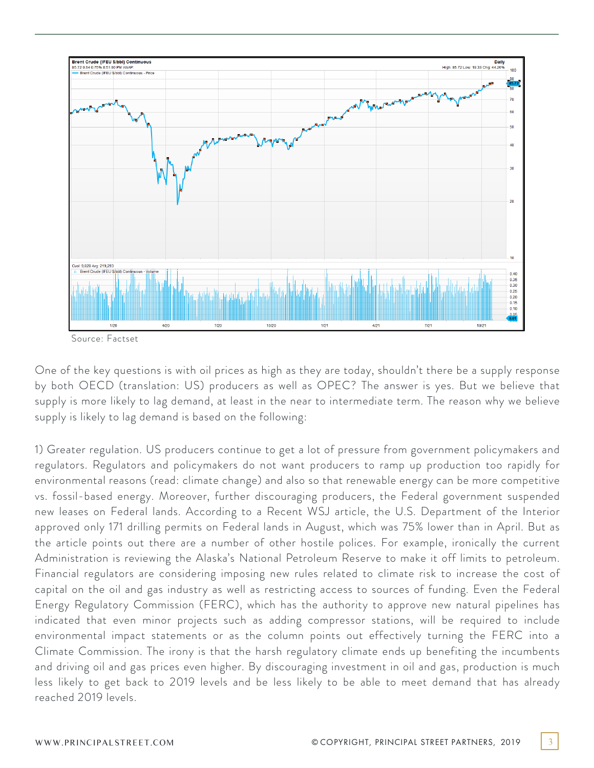

Source: Factset

One of the key questions is with oil prices as high as they are today, shouldn't there be a supply response by both OECD (translation: US) producers as well as OPEC? The answer is yes. But we believe that supply is more likely to lag demand, at least in the near to intermediate term. The reason why we believe supply is likely to lag demand is based on the following:

1) Greater regulation. US producers continue to get a lot of pressure from government policymakers and regulators. Regulators and policymakers do not want producers to ramp up production too rapidly for environmental reasons (read: climate change) and also so that renewable energy can be more competitive vs. fossil-based energy. Moreover, further discouraging producers, the Federal government suspended new leases on Federal lands. According to a Recent WSJ article, the U.S. Department of the Interior approved only 171 drilling permits on Federal lands in August, which was 75% lower than in April. But as the article points out there are a number of other hostile polices. For example, ironically the current Administration is reviewing the Alaska's National Petroleum Reserve to make it off limits to petroleum. Financial regulators are considering imposing new rules related to climate risk to increase the cost of capital on the oil and gas industry as well as restricting access to sources of funding. Even the Federal Energy Regulatory Commission (FERC), which has the authority to approve new natural pipelines has indicated that even minor projects such as adding compressor stations, will be required to include environmental impact statements or as the column points out effectively turning the FERC into a Climate Commission. The irony is that the harsh regulatory climate ends up benefiting the incumbents and driving oil and gas prices even higher. By discouraging investment in oil and gas, production is much less likely to get back to 2019 levels and be less likely to be able to meet demand that has already reached 2019 levels.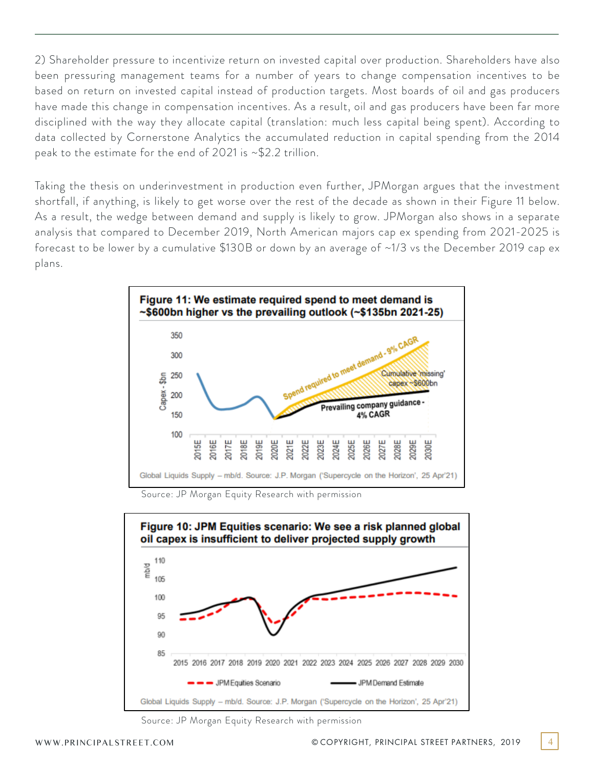2) Shareholder pressure to incentivize return on invested capital over production. Shareholders have also been pressuring management teams for a number of years to change compensation incentives to be based on return on invested capital instead of production targets. Most boards of oil and gas producers have made this change in compensation incentives. As a result, oil and gas producers have been far more disciplined with the way they allocate capital (translation: much less capital being spent). According to data collected by Cornerstone Analytics the accumulated reduction in capital spending from the 2014 peak to the estimate for the end of 2021 is ~\$2.2 trillion.

Taking the thesis on underinvestment in production even further, JPMorgan argues that the investment shortfall, if anything, is likely to get worse over the rest of the decade as shown in their Figure 11 below. As a result, the wedge between demand and supply is likely to grow. JPMorgan also shows in a separate analysis that compared to December 2019, North American majors cap ex spending from 2021-2025 is forecast to be lower by a cumulative \$130B or down by an average of ~1/3 vs the December 2019 cap ex plans.



Source: JP Morgan Equity Research with permission



Source: JP Morgan Equity Research with permission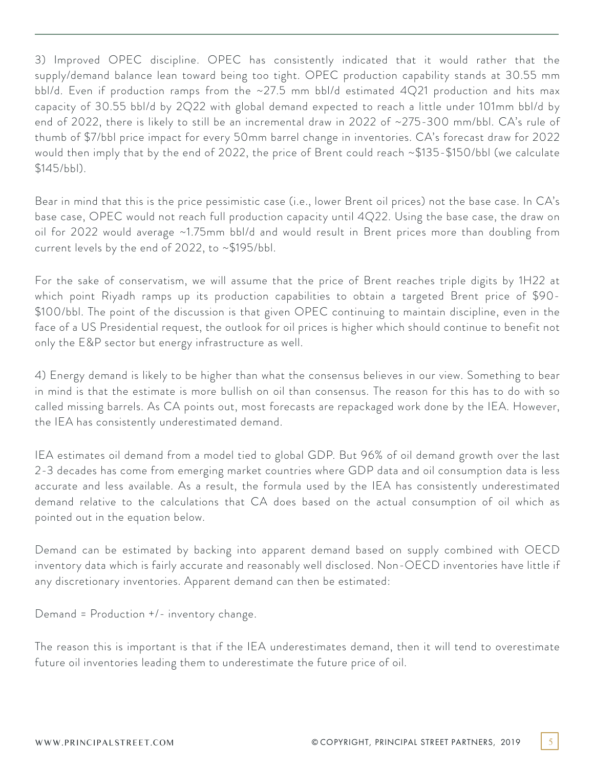3) Improved OPEC discipline. OPEC has consistently indicated that it would rather that the supply/demand balance lean toward being too tight. OPEC production capability stands at 30.55 mm bbl/d. Even if production ramps from the ~27.5 mm bbl/d estimated 4Q21 production and hits max capacity of 30.55 bbl/d by 2Q22 with global demand expected to reach a little under 101mm bbl/d by end of 2022, there is likely to still be an incremental draw in 2022 of ~275-300 mm/bbl. CA's rule of thumb of \$7/bbl price impact for every 50mm barrel change in inventories. CA's forecast draw for 2022 would then imply that by the end of 2022, the price of Brent could reach ~\$135-\$150/bbl (we calculate \$145/bbl).

Bear in mind that this is the price pessimistic case (i.e., lower Brent oil prices) not the base case. In CA's base case, OPEC would not reach full production capacity until 4Q22. Using the base case, the draw on oil for 2022 would average ~1.75mm bbl/d and would result in Brent prices more than doubling from current levels by the end of 2022, to ~\$195/bbl.

For the sake of conservatism, we will assume that the price of Brent reaches triple digits by 1H22 at which point Riyadh ramps up its production capabilities to obtain a targeted Brent price of \$90- \$100/bbl. The point of the discussion is that given OPEC continuing to maintain discipline, even in the face of a US Presidential request, the outlook for oil prices is higher which should continue to benefit not only the E&P sector but energy infrastructure as well.

4) Energy demand is likely to be higher than what the consensus believes in our view. Something to bear in mind is that the estimate is more bullish on oil than consensus. The reason for this has to do with so called missing barrels. As CA points out, most forecasts are repackaged work done by the IEA. However, the IEA has consistently underestimated demand.

IEA estimates oil demand from a model tied to global GDP. But 96% of oil demand growth over the last 2-3 decades has come from emerging market countries where GDP data and oil consumption data is less accurate and less available. As a result, the formula used by the IEA has consistently underestimated demand relative to the calculations that CA does based on the actual consumption of oil which as pointed out in the equation below.

Demand can be estimated by backing into apparent demand based on supply combined with OECD inventory data which is fairly accurate and reasonably well disclosed. Non-OECD inventories have little if any discretionary inventories. Apparent demand can then be estimated:

Demand = Production +/- inventory change.

The reason this is important is that if the IEA underestimates demand, then it will tend to overestimate future oil inventories leading them to underestimate the future price of oil.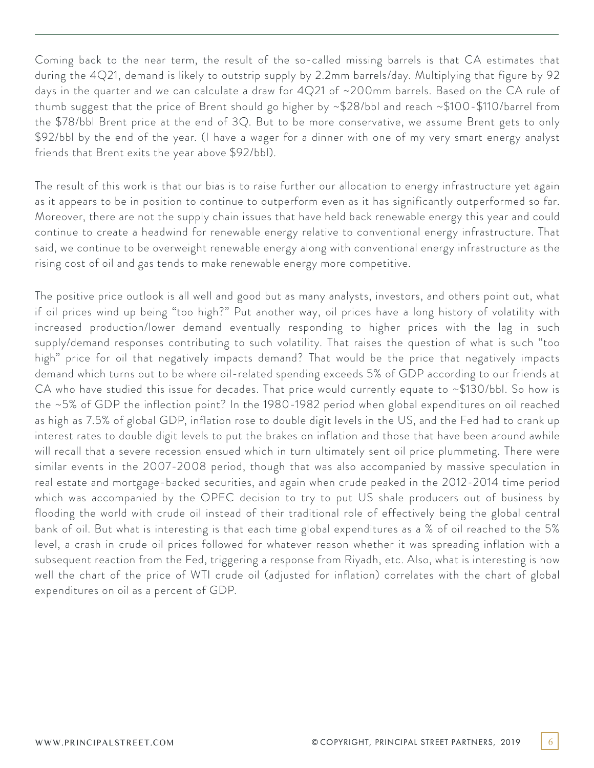Coming back to the near term, the result of the so-called missing barrels is that CA estimates that during the 4Q21, demand is likely to outstrip supply by 2.2mm barrels/day. Multiplying that figure by 92 days in the quarter and we can calculate a draw for 4Q21 of ~200mm barrels. Based on the CA rule of thumb suggest that the price of Brent should go higher by ~\$28/bbl and reach ~\$100-\$110/barrel from the \$78/bbl Brent price at the end of 3Q. But to be more conservative, we assume Brent gets to only \$92/bbl by the end of the year. (I have a wager for a dinner with one of my very smart energy analyst friends that Brent exits the year above \$92/bbl).

The result of this work is that our bias is to raise further our allocation to energy infrastructure yet again as it appears to be in position to continue to outperform even as it has significantly outperformed so far. Moreover, there are not the supply chain issues that have held back renewable energy this year and could continue to create a headwind for renewable energy relative to conventional energy infrastructure. That said, we continue to be overweight renewable energy along with conventional energy infrastructure as the rising cost of oil and gas tends to make renewable energy more competitive.

The positive price outlook is all well and good but as many analysts, investors, and others point out, what if oil prices wind up being "too high?" Put another way, oil prices have a long history of volatility with increased production/lower demand eventually responding to higher prices with the lag in such supply/demand responses contributing to such volatility. That raises the question of what is such "too high" price for oil that negatively impacts demand? That would be the price that negatively impacts demand which turns out to be where oil-related spending exceeds 5% of GDP according to our friends at CA who have studied this issue for decades. That price would currently equate to  $\sim$ \$130/bbl. So how is the ~5% of GDP the inflection point? In the 1980-1982 period when global expenditures on oil reached as high as 7.5% of global GDP, inflation rose to double digit levels in the US, and the Fed had to crank up interest rates to double digit levels to put the brakes on inflation and those that have been around awhile will recall that a severe recession ensued which in turn ultimately sent oil price plummeting. There were similar events in the 2007-2008 period, though that was also accompanied by massive speculation in real estate and mortgage-backed securities, and again when crude peaked in the 2012-2014 time period which was accompanied by the OPEC decision to try to put US shale producers out of business by flooding the world with crude oil instead of their traditional role of effectively being the global central bank of oil. But what is interesting is that each time global expenditures as a % of oil reached to the 5% level, a crash in crude oil prices followed for whatever reason whether it was spreading inflation with a subsequent reaction from the Fed, triggering a response from Riyadh, etc. Also, what is interesting is how well the chart of the price of WTI crude oil (adjusted for inflation) correlates with the chart of global expenditures on oil as a percent of GDP.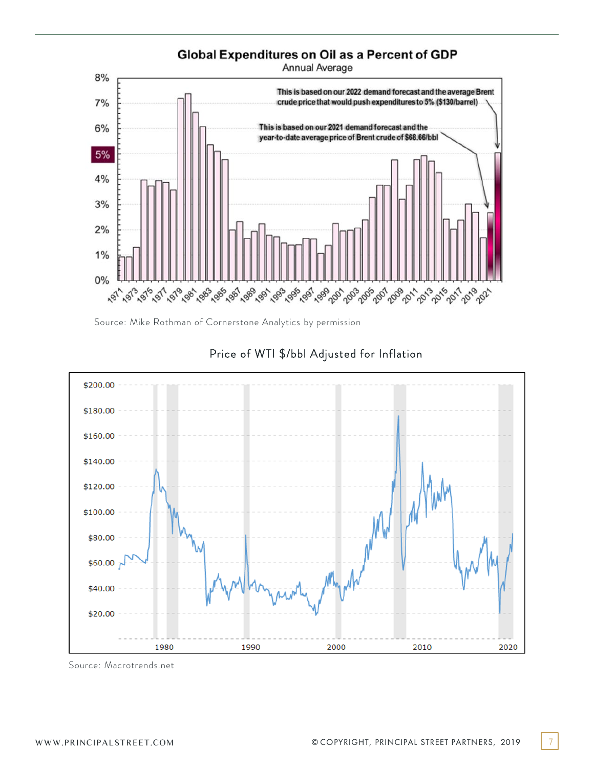

Source: Mike Rothman of Cornerstone Analytics by permission



# Price of WTI \$/bbl Adjusted for Inflation

Source: Macrotrends.net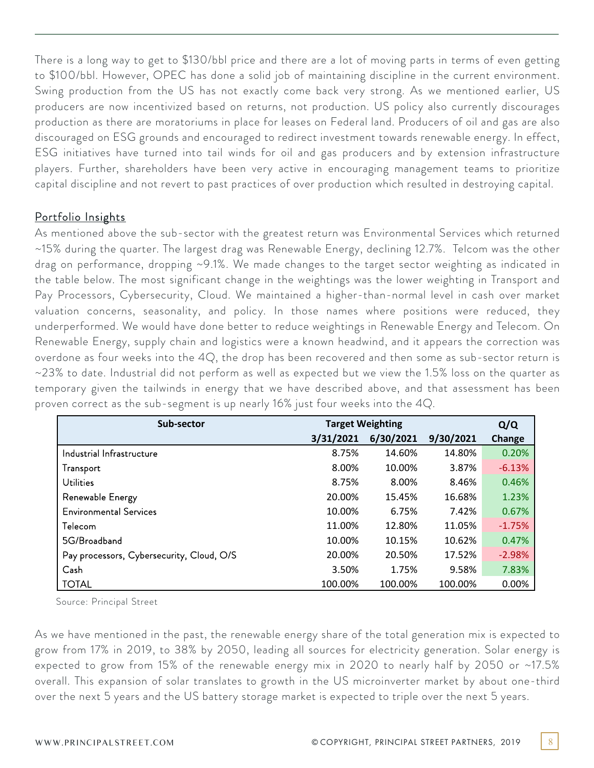There is a long way to get to \$130/bbl price and there are a lot of moving parts in terms of even getting to \$100/bbl. However, OPEC has done a solid job of maintaining discipline in the current environment. Swing production from the US has not exactly come back very strong. As we mentioned earlier, US producers are now incentivized based on returns, not production. US policy also currently discourages production as there are moratoriums in place for leases on Federal land. Producers of oil and gas are also discouraged on ESG grounds and encouraged to redirect investment towards renewable energy. In effect, ESG initiatives have turned into tail winds for oil and gas producers and by extension infrastructure players. Further, shareholders have been very active in encouraging management teams to prioritize capital discipline and not revert to past practices of over production which resulted in destroying capital.

## Portfolio Insights

As mentioned above the sub-sector with the greatest return was Environmental Services which returned ~15% during the quarter. The largest drag was Renewable Energy, declining 12.7%. Telcom was the other drag on performance, dropping ~9.1%. We made changes to the target sector weighting as indicated in the table below. The most significant change in the weightings was the lower weighting in Transport and Pay Processors, Cybersecurity, Cloud. We maintained a higher-than-normal level in cash over market valuation concerns, seasonality, and policy. In those names where positions were reduced, they underperformed. We would have done better to reduce weightings in Renewable Energy and Telecom. On Renewable Energy, supply chain and logistics were a known headwind, and it appears the correction was overdone as four weeks into the 4Q, the drop has been recovered and then some as sub-sector return is ~23% to date. Industrial did not perform as well as expected but we view the 1.5% loss on the quarter as temporary given the tailwinds in energy that we have described above, and that assessment has been proven correct as the sub-segment is up nearly 16% just four weeks into the 4Q.

| Sub-sector                                |           | <b>Target Weighting</b> |           |          |  |  |
|-------------------------------------------|-----------|-------------------------|-----------|----------|--|--|
|                                           | 3/31/2021 | 6/30/2021               | 9/30/2021 | Change   |  |  |
| Industrial Infrastructure                 | 8.75%     | 14.60%                  | 14.80%    | 0.20%    |  |  |
| Transport                                 | 8.00%     | 10.00%                  | 3.87%     | $-6.13%$ |  |  |
| Utilities                                 | 8.75%     | 8.00%                   | 8.46%     | 0.46%    |  |  |
| Renewable Energy                          | 20.00%    | 15.45%                  | 16.68%    | 1.23%    |  |  |
| <b>Environmental Services</b>             | 10.00%    | 6.75%                   | 7.42%     | 0.67%    |  |  |
| Telecom                                   | 11.00%    | 12.80%                  | 11.05%    | $-1.75%$ |  |  |
| 5G/Broadband                              | 10.00%    | 10.15%                  | 10.62%    | 0.47%    |  |  |
| Pay processors, Cybersecurity, Cloud, O/S | 20.00%    | 20.50%                  | 17.52%    | $-2.98%$ |  |  |
| Cash                                      | 3.50%     | 1.75%                   | 9.58%     | 7.83%    |  |  |
| <b>TOTAL</b>                              | 100.00%   | 100.00%                 | 100.00%   | 0.00%    |  |  |

Source: Principal Street

As we have mentioned in the past, the renewable energy share of the total generation mix is expected to grow from 17% in 2019, to 38% by 2050, leading all sources for electricity generation. Solar energy is expected to grow from 15% of the renewable energy mix in 2020 to nearly half by 2050 or ~17.5% overall. This expansion of solar translates to growth in the US microinverter market by about one-third over the next 5 years and the US battery storage market is expected to triple over the next 5 years.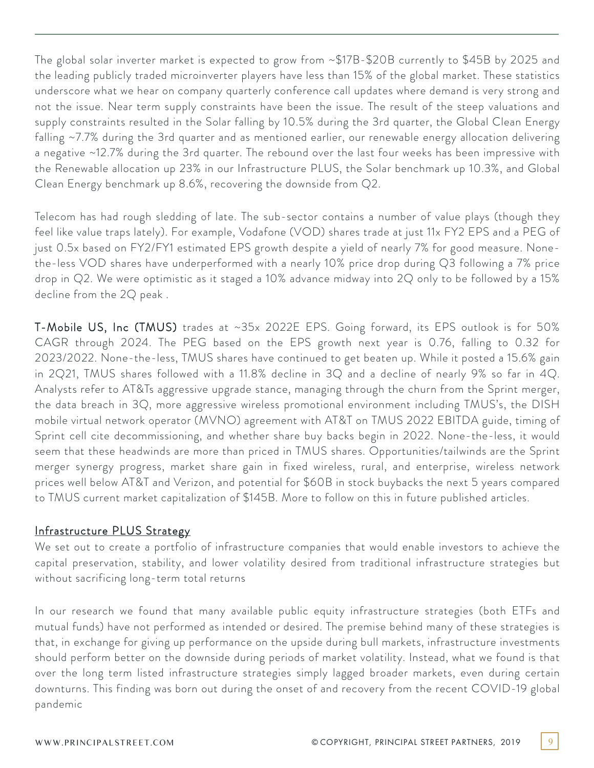The global solar inverter market is expected to grow from ~\$17B-\$20B currently to \$45B by 2025 and the leading publicly traded microinverter players have less than 15% of the global market. These statistics underscore what we hear on company quarterly conference call updates where demand is very strong and not the issue. Near term supply constraints have been the issue. The result of the steep valuations and supply constraints resulted in the Solar falling by 10.5% during the 3rd quarter, the Global Clean Energy falling ~7.7% during the 3rd quarter and as mentioned earlier, our renewable energy allocation delivering a negative ~12.7% during the 3rd quarter. The rebound over the last four weeks has been impressive with the Renewable allocation up 23% in our Infrastructure PLUS, the Solar benchmark up 10.3%, and Global Clean Energy benchmark up 8.6%, recovering the downside from Q2.

Telecom has had rough sledding of late. The sub-sector contains a number of value plays (though they feel like value traps lately). For example, Vodafone (VOD) shares trade at just 11x FY2 EPS and a PEG of just 0.5x based on FY2/FY1 estimated EPS growth despite a yield of nearly 7% for good measure. Nonethe-less VOD shares have underperformed with a nearly 10% price drop during Q3 following a 7% price drop in Q2. We were optimistic as it staged a 10% advance midway into 2Q only to be followed by a 15% decline from the 2Q peak .

T-Mobile US, Inc (TMUS) trades at ~35x 2022E EPS. Going forward, its EPS outlook is for 50% CAGR through 2024. The PEG based on the EPS growth next year is 0.76, falling to 0.32 for 2023/2022. None-the-less, TMUS shares have continued to get beaten up. While it posted a 15.6% gain in 2Q21, TMUS shares followed with a 11.8% decline in 3Q and a decline of nearly 9% so far in 4Q. Analysts refer to AT&Ts aggressive upgrade stance, managing through the churn from the Sprint merger, the data breach in 3Q, more aggressive wireless promotional environment including TMUS's, the DISH mobile virtual network operator (MVNO) agreement with AT&T on TMUS 2022 EBITDA guide, timing of Sprint cell cite decommissioning, and whether share buy backs begin in 2022. None-the-less, it would seem that these headwinds are more than priced in TMUS shares. Opportunities/tailwinds are the Sprint merger synergy progress, market share gain in fixed wireless, rural, and enterprise, wireless network prices well below AT&T and Verizon, and potential for \$60B in stock buybacks the next 5 years compared to TMUS current market capitalization of \$145B. More to follow on this in future published articles.

# Infrastructure PLUS Strategy

We set out to create a portfolio of infrastructure companies that would enable investors to achieve the capital preservation, stability, and lower volatility desired from traditional infrastructure strategies but without sacrificing long-term total returns

In our research we found that many available public equity infrastructure strategies (both ETFs and mutual funds) have not performed as intended or desired. The premise behind many of these strategies is that, in exchange for giving up performance on the upside during bull markets, infrastructure investments should perform better on the downside during periods of market volatility. Instead, what we found is that over the long term listed infrastructure strategies simply lagged broader markets, even during certain downturns. This finding was born out during the onset of and recovery from the recent COVID-19 global pandemic